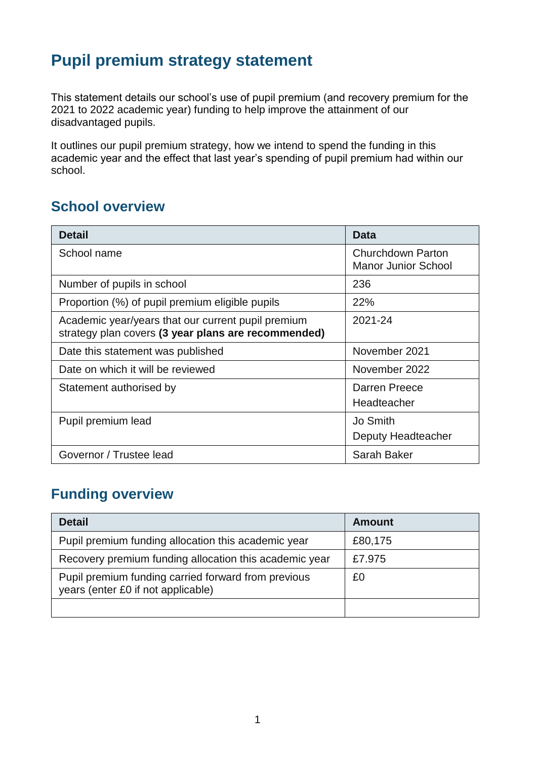# **Pupil premium strategy statement**

This statement details our school's use of pupil premium (and recovery premium for the 2021 to 2022 academic year) funding to help improve the attainment of our disadvantaged pupils.

It outlines our pupil premium strategy, how we intend to spend the funding in this academic year and the effect that last year's spending of pupil premium had within our school.

## **School overview**

| <b>Detail</b>                                                                                             | <b>Data</b>                                            |
|-----------------------------------------------------------------------------------------------------------|--------------------------------------------------------|
| School name                                                                                               | <b>Churchdown Parton</b><br><b>Manor Junior School</b> |
| Number of pupils in school                                                                                | 236                                                    |
| Proportion (%) of pupil premium eligible pupils                                                           | 22%                                                    |
| Academic year/years that our current pupil premium<br>strategy plan covers (3 year plans are recommended) | 2021-24                                                |
| Date this statement was published                                                                         | November 2021                                          |
| Date on which it will be reviewed                                                                         | November 2022                                          |
| Statement authorised by                                                                                   | Darren Preece<br>Headteacher                           |
| Pupil premium lead                                                                                        | Jo Smith<br>Deputy Headteacher                         |
| Governor / Trustee lead                                                                                   | Sarah Baker                                            |

## **Funding overview**

| <b>Detail</b>                                                                             | <b>Amount</b> |
|-------------------------------------------------------------------------------------------|---------------|
| Pupil premium funding allocation this academic year                                       | £80,175       |
| Recovery premium funding allocation this academic year                                    | £7.975        |
| Pupil premium funding carried forward from previous<br>years (enter £0 if not applicable) | £0            |
|                                                                                           |               |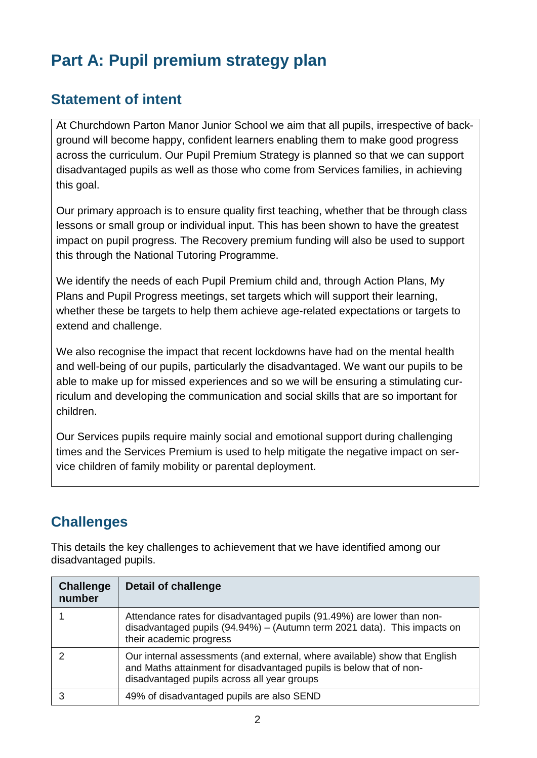# **Part A: Pupil premium strategy plan**

## **Statement of intent**

At Churchdown Parton Manor Junior School we aim that all pupils, irrespective of background will become happy, confident learners enabling them to make good progress across the curriculum. Our Pupil Premium Strategy is planned so that we can support disadvantaged pupils as well as those who come from Services families, in achieving this goal.

Our primary approach is to ensure quality first teaching, whether that be through class lessons or small group or individual input. This has been shown to have the greatest impact on pupil progress. The Recovery premium funding will also be used to support this through the National Tutoring Programme.

We identify the needs of each Pupil Premium child and, through Action Plans, My Plans and Pupil Progress meetings, set targets which will support their learning, whether these be targets to help them achieve age-related expectations or targets to extend and challenge.

We also recognise the impact that recent lockdowns have had on the mental health and well-being of our pupils, particularly the disadvantaged. We want our pupils to be able to make up for missed experiences and so we will be ensuring a stimulating curriculum and developing the communication and social skills that are so important for children.

Our Services pupils require mainly social and emotional support during challenging times and the Services Premium is used to help mitigate the negative impact on service children of family mobility or parental deployment.

## **Challenges**

This details the key challenges to achievement that we have identified among our disadvantaged pupils.

| <b>Challenge</b><br>number | <b>Detail of challenge</b>                                                                                                                                                                       |
|----------------------------|--------------------------------------------------------------------------------------------------------------------------------------------------------------------------------------------------|
|                            | Attendance rates for disadvantaged pupils (91.49%) are lower than non-<br>disadvantaged pupils (94.94%) - (Autumn term 2021 data). This impacts on<br>their academic progress                    |
|                            | Our internal assessments (and external, where available) show that English<br>and Maths attainment for disadvantaged pupils is below that of non-<br>disadvantaged pupils across all year groups |
|                            | 49% of disadvantaged pupils are also SEND                                                                                                                                                        |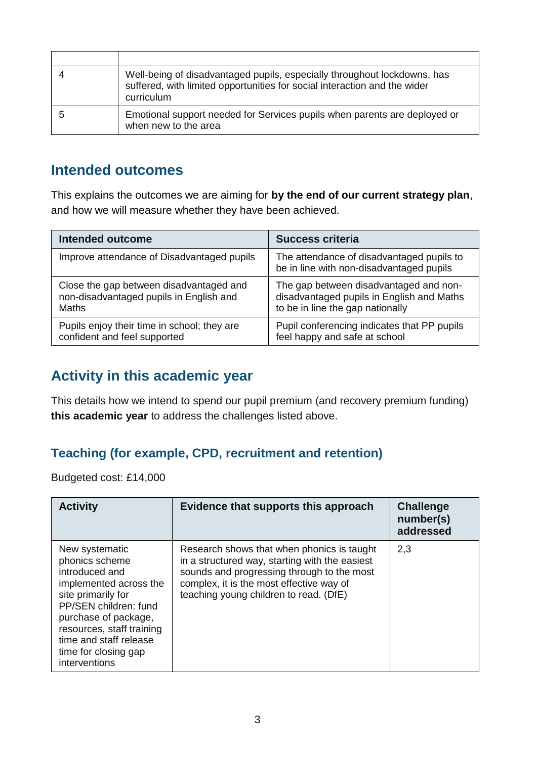| Well-being of disadvantaged pupils, especially throughout lockdowns, has<br>suffered, with limited opportunities for social interaction and the wider<br>curriculum |
|---------------------------------------------------------------------------------------------------------------------------------------------------------------------|
| Emotional support needed for Services pupils when parents are deployed or<br>when new to the area                                                                   |

#### **Intended outcomes**

This explains the outcomes we are aiming for **by the end of our current strategy plan**, and how we will measure whether they have been achieved.

| <b>Intended outcome</b>                     | <b>Success criteria</b>                                                               |
|---------------------------------------------|---------------------------------------------------------------------------------------|
| Improve attendance of Disadvantaged pupils  | The attendance of disadvantaged pupils to<br>be in line with non-disadvantaged pupils |
| Close the gap between disadvantaged and     | The gap between disadvantaged and non-                                                |
| non-disadvantaged pupils in English and     | disadvantaged pupils in English and Maths                                             |
| <b>Maths</b>                                | to be in line the gap nationally                                                      |
| Pupils enjoy their time in school; they are | Pupil conferencing indicates that PP pupils                                           |
| confident and feel supported                | feel happy and safe at school                                                         |

## **Activity in this academic year**

This details how we intend to spend our pupil premium (and recovery premium funding) **this academic year** to address the challenges listed above.

#### **Teaching (for example, CPD, recruitment and retention)**

Budgeted cost: £14,000

| <b>Activity</b>                                                                                                                                                                                                                                     | Evidence that supports this approach                                                                                                                                                                                             | <b>Challenge</b><br>number(s)<br>addressed |
|-----------------------------------------------------------------------------------------------------------------------------------------------------------------------------------------------------------------------------------------------------|----------------------------------------------------------------------------------------------------------------------------------------------------------------------------------------------------------------------------------|--------------------------------------------|
| New systematic<br>phonics scheme<br>introduced and<br>implemented across the<br>site primarily for<br>PP/SEN children: fund<br>purchase of package,<br>resources, staff training<br>time and staff release<br>time for closing gap<br>interventions | Research shows that when phonics is taught<br>in a structured way, starting with the easiest<br>sounds and progressing through to the most<br>complex, it is the most effective way of<br>teaching young children to read. (DfE) | 2,3                                        |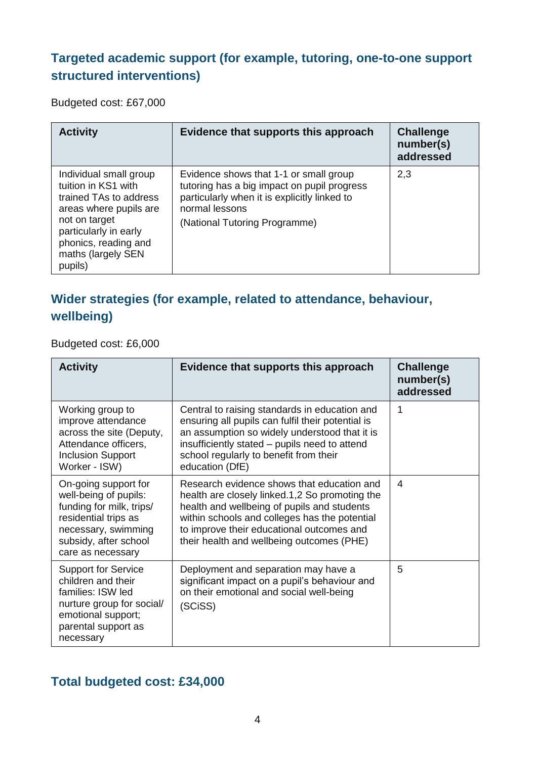#### **Targeted academic support (for example, tutoring, one-to-one support structured interventions)**

Budgeted cost: £67,000

| <b>Activity</b>                                                                                                                                                                                      | Evidence that supports this approach                                                                                                                                                     | <b>Challenge</b><br>number(s)<br>addressed |
|------------------------------------------------------------------------------------------------------------------------------------------------------------------------------------------------------|------------------------------------------------------------------------------------------------------------------------------------------------------------------------------------------|--------------------------------------------|
| Individual small group<br>tuition in KS1 with<br>trained TAs to address<br>areas where pupils are<br>not on target<br>particularly in early<br>phonics, reading and<br>maths (largely SEN<br>pupils) | Evidence shows that 1-1 or small group<br>tutoring has a big impact on pupil progress<br>particularly when it is explicitly linked to<br>normal lessons<br>(National Tutoring Programme) | 2,3                                        |

## **Wider strategies (for example, related to attendance, behaviour, wellbeing)**

Budgeted cost: £6,000

| <b>Activity</b>                                                                                                                                                        | Evidence that supports this approach                                                                                                                                                                                                                                                   | <b>Challenge</b><br>number(s)<br>addressed |
|------------------------------------------------------------------------------------------------------------------------------------------------------------------------|----------------------------------------------------------------------------------------------------------------------------------------------------------------------------------------------------------------------------------------------------------------------------------------|--------------------------------------------|
| Working group to<br>improve attendance<br>across the site (Deputy,<br>Attendance officers,<br><b>Inclusion Support</b><br>Worker - ISW)                                | Central to raising standards in education and<br>ensuring all pupils can fulfil their potential is<br>an assumption so widely understood that it is<br>insufficiently stated – pupils need to attend<br>school regularly to benefit from their<br>education (DfE)                      | 1                                          |
| On-going support for<br>well-being of pupils:<br>funding for milk, trips/<br>residential trips as<br>necessary, swimming<br>subsidy, after school<br>care as necessary | Research evidence shows that education and<br>health are closely linked.1,2 So promoting the<br>health and wellbeing of pupils and students<br>within schools and colleges has the potential<br>to improve their educational outcomes and<br>their health and wellbeing outcomes (PHE) | 4                                          |
| <b>Support for Service</b><br>children and their<br>families: ISW led<br>nurture group for social/<br>emotional support;<br>parental support as<br>necessary           | Deployment and separation may have a<br>significant impact on a pupil's behaviour and<br>on their emotional and social well-being<br>(SCiSS)                                                                                                                                           | 5                                          |

## **Total budgeted cost: £34,000**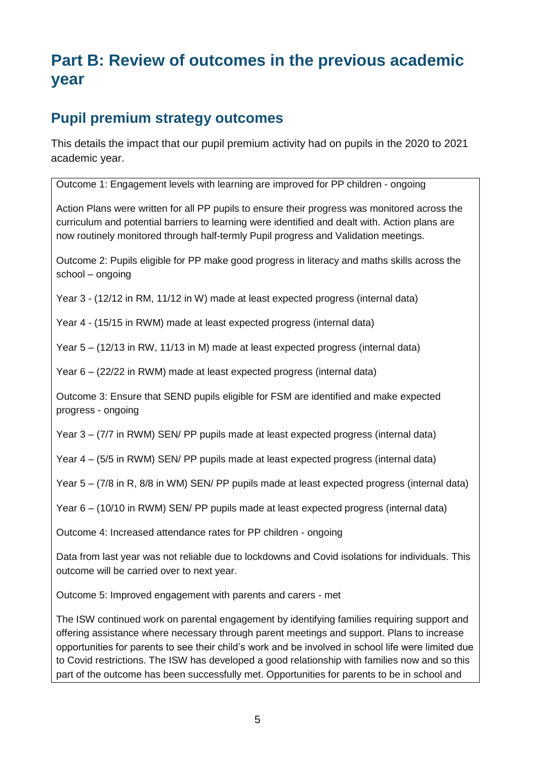# **Part B: Review of outcomes in the previous academic year**

## **Pupil premium strategy outcomes**

This details the impact that our pupil premium activity had on pupils in the 2020 to 2021 academic year.

Outcome 1: Engagement levels with learning are improved for PP children - ongoing

Action Plans were written for all PP pupils to ensure their progress was monitored across the curriculum and potential barriers to learning were identified and dealt with. Action plans are now routinely monitored through half-termly Pupil progress and Validation meetings.

Outcome 2: Pupils eligible for PP make good progress in literacy and maths skills across the school – ongoing

Year 3 - (12/12 in RM, 11/12 in W) made at least expected progress (internal data)

Year 4 - (15/15 in RWM) made at least expected progress (internal data)

Year 5 – (12/13 in RW, 11/13 in M) made at least expected progress (internal data)

Year 6 – (22/22 in RWM) made at least expected progress (internal data)

Outcome 3: Ensure that SEND pupils eligible for FSM are identified and make expected progress - ongoing

Year 3 – (7/7 in RWM) SEN/ PP pupils made at least expected progress (internal data)

Year 4 – (5/5 in RWM) SEN/ PP pupils made at least expected progress (internal data)

Year 5 – (7/8 in R, 8/8 in WM) SEN/ PP pupils made at least expected progress (internal data)

Year 6 – (10/10 in RWM) SEN/ PP pupils made at least expected progress (internal data)

Outcome 4: Increased attendance rates for PP children - ongoing

Data from last year was not reliable due to lockdowns and Covid isolations for individuals. This outcome will be carried over to next year.

Outcome 5: Improved engagement with parents and carers - met

The ISW continued work on parental engagement by identifying families requiring support and offering assistance where necessary through parent meetings and support. Plans to increase opportunities for parents to see their child's work and be involved in school life were limited due to Covid restrictions. The ISW has developed a good relationship with families now and so this part of the outcome has been successfully met. Opportunities for parents to be in school and